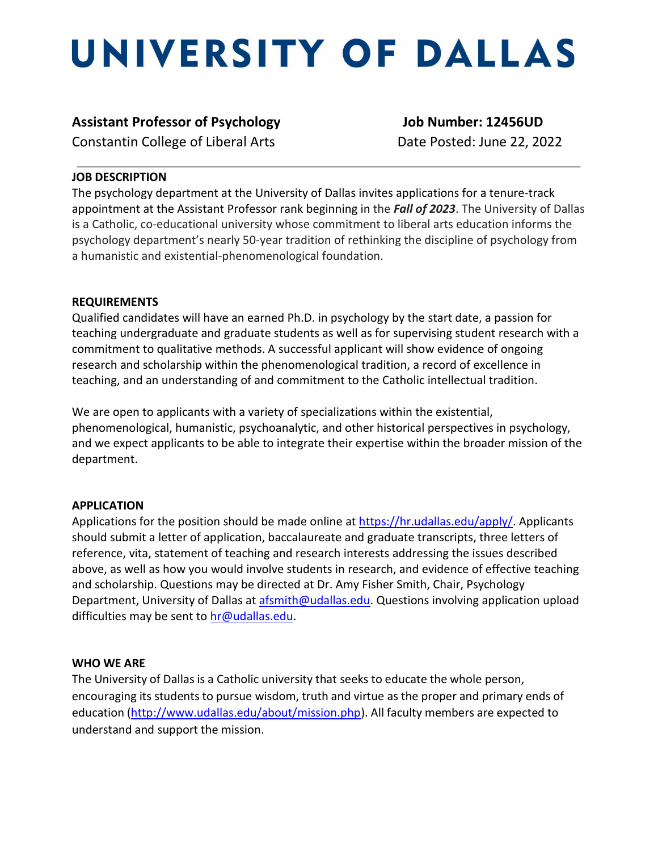# UNIVERSITY OF DALLAS

# **Assistant Professor of Psychology Job Number: 12456UD**

Constantin College of Liberal ArtsDate Posted: June 22, 2022

### **JOB DESCRIPTION**

The psychology department at the University of Dallas invites applications for a tenure-track appointment at the Assistant Professor rank beginning in the *Fall of 2023*. The University of Dallas is a Catholic, co-educational university whose commitment to liberal arts education informs the psychology department's nearly 50-year tradition of rethinking the discipline of psychology from a humanistic and existential-phenomenological foundation.

### **REQUIREMENTS**

Qualified candidates will have an earned Ph.D. in psychology by the start date, a passion for teaching undergraduate and graduate students as well as for supervising student research with a commitment to qualitative methods. A successful applicant will show evidence of ongoing research and scholarship within the phenomenological tradition, a record of excellence in teaching, and an understanding of and commitment to the Catholic intellectual tradition.

We are open to applicants with a variety of specializations within the existential, phenomenological, humanistic, psychoanalytic, and other historical perspectives in psychology, and we expect applicants to be able to integrate their expertise within the broader mission of the department.

## **APPLICATION**

Applications for the position should be made online at [https://hr.udallas.edu/apply/.](https://hr.udallas.edu/apply/) Applicants should submit a letter of application, baccalaureate and graduate transcripts, three letters of reference, vita, statement of teaching and research interests addressing the issues described above, as well as how you would involve students in research, and evidence of effective teaching and scholarship. Questions may be directed at Dr. Amy Fisher Smith, Chair, Psychology Department, University of Dallas at [afsmith@udallas.edu.](mailto:afsmith@udallas.edu) Questions involving application upload difficulties may be sent to [hr@udallas.edu.](mailto:hr@udallas.edu)

#### **WHO WE ARE**

The University of Dallas is a Catholic university that seeks to educate the whole person, encouraging its students to pursue wisdom, truth and virtue as the proper and primary ends of education [\(http://www.udallas.edu/about/mission.php\)](http://www.udallas.edu/about/mission.php). All faculty members are expected to understand and support the mission.